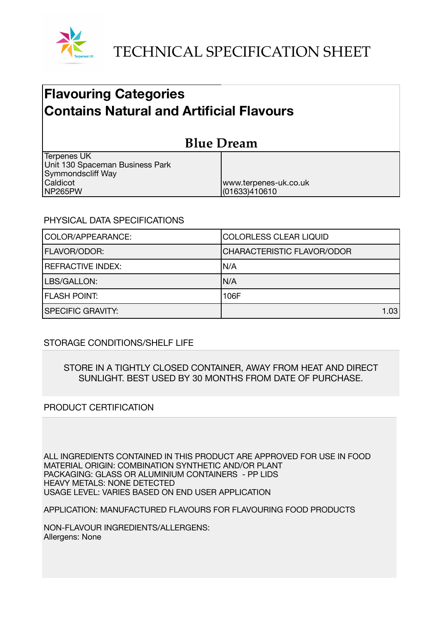

## **Flavouring Categories Contains Natural and Artificial Flavours**

| <b>Blue Dream</b>               |                       |  |
|---------------------------------|-----------------------|--|
| <b>Terpenes UK</b>              |                       |  |
| Unit 130 Spaceman Business Park |                       |  |
| Symmondscliff Way               |                       |  |
| Caldicot                        | www.terpenes-uk.co.uk |  |
| NP265PW                         | (01633)410610         |  |

## PHYSICAL DATA SPECIFICATIONS

| COLOR/APPEARANCE:        | COLORLESS CLEAR LIQUID            |
|--------------------------|-----------------------------------|
| <b>FLAVOR/ODOR:</b>      | <b>CHARACTERISTIC FLAVOR/ODOR</b> |
| <b>REFRACTIVE INDEX:</b> | IN/A                              |
| LBS/GALLON:              | IN/A                              |
| <b>FLASH POINT:</b>      | 106F                              |
| <b>SPECIFIC GRAVITY:</b> | 1.03                              |

## STORAGE CONDITIONS/SHELF LIFE

STORE IN A TIGHTLY CLOSED CONTAINER, AWAY FROM HEAT AND DIRECT SUNLIGHT. BEST USED BY 30 MONTHS FROM DATE OF PURCHASE.

## PRODUCT CERTIFICATION

ALL INGREDIENTS CONTAINED IN THIS PRODUCT ARE APPROVED FOR USE IN FOOD MATERIAL ORIGIN: COMBINATION SYNTHETIC AND/OR PLANT PACKAGING: GLASS OR ALUMINIUM CONTAINERS - PP LIDS HEAVY METALS: NONE DETECTED USAGE LEVEL: VARIES BASED ON END USER APPLICATION

APPLICATION: MANUFACTURED FLAVOURS FOR FLAVOURING FOOD PRODUCTS

NON-FLAVOUR INGREDIENTS/ALLERGENS: Allergens: None